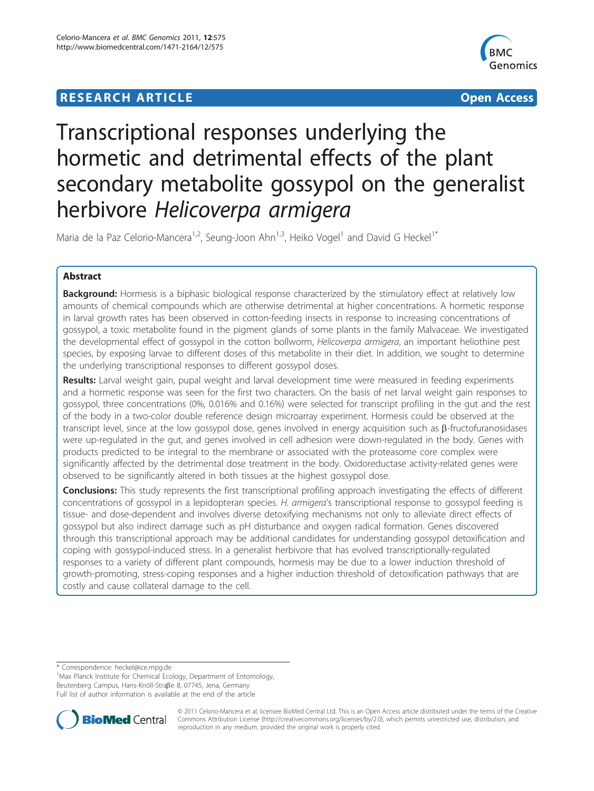## **RESEARCH ARTICLE Example 2014 CONSUMING ACCESS**



# Transcriptional responses underlying the hormetic and detrimental effects of the plant secondary metabolite gossypol on the generalist herbivore Helicoverpa armigera

Maria de la Paz Celorio-Mancera<sup>1,2</sup>, Seung-Joon Ahn<sup>1,3</sup>, Heiko Vogel<sup>1</sup> and David G Heckel<sup>1\*</sup>

## Abstract

**Background:** Hormesis is a biphasic biological response characterized by the stimulatory effect at relatively low amounts of chemical compounds which are otherwise detrimental at higher concentrations. A hormetic response in larval growth rates has been observed in cotton-feeding insects in response to increasing concentrations of gossypol, a toxic metabolite found in the pigment glands of some plants in the family Malvaceae. We investigated the developmental effect of gossypol in the cotton bollworm, Helicoverpa armigera, an important heliothine pest species, by exposing larvae to different doses of this metabolite in their diet. In addition, we sought to determine the underlying transcriptional responses to different gossypol doses.

Results: Larval weight gain, pupal weight and larval development time were measured in feeding experiments and a hormetic response was seen for the first two characters. On the basis of net larval weight gain responses to gossypol, three concentrations (0%, 0.016% and 0.16%) were selected for transcript profiling in the gut and the rest of the body in a two-color double reference design microarray experiment. Hormesis could be observed at the transcript level, since at the low gossypol dose, genes involved in energy acquisition such as  $\beta$ -fructofuranosidases were up-regulated in the gut, and genes involved in cell adhesion were down-regulated in the body. Genes with products predicted to be integral to the membrane or associated with the proteasome core complex were significantly affected by the detrimental dose treatment in the body. Oxidoreductase activity-related genes were observed to be significantly altered in both tissues at the highest gossypol dose.

**Conclusions:** This study represents the first transcriptional profiling approach investigating the effects of different concentrations of gossypol in a lepidopteran species. H. armigera's transcriptional response to gossypol feeding is tissue- and dose-dependent and involves diverse detoxifying mechanisms not only to alleviate direct effects of gossypol but also indirect damage such as pH disturbance and oxygen radical formation. Genes discovered through this transcriptional approach may be additional candidates for understanding gossypol detoxification and coping with gossypol-induced stress. In a generalist herbivore that has evolved transcriptionally-regulated responses to a variety of different plant compounds, hormesis may be due to a lower induction threshold of growth-promoting, stress-coping responses and a higher induction threshold of detoxification pathways that are costly and cause collateral damage to the cell.

\* Correspondence: [heckel@ice.mpg.de](mailto:heckel@ice.mpg.de)

<sup>1</sup>Max Planck Institute for Chemical Ecology, Department of Entomology, Beutenberg Campus, Hans-Knöll-Straße 8, 07745, Jena, Germany Full list of author information is available at the end of the article



© 2011 Celorio-Mancera et al; licensee BioMed Central Ltd. This is an Open Access article distributed under the terms of the Creative Commons Attribution License [\(http://creativecommons.org/licenses/by/2.0](http://creativecommons.org/licenses/by/2.0)), which permits unrestricted use, distribution, and reproduction in any medium, provided the original work is properly cited.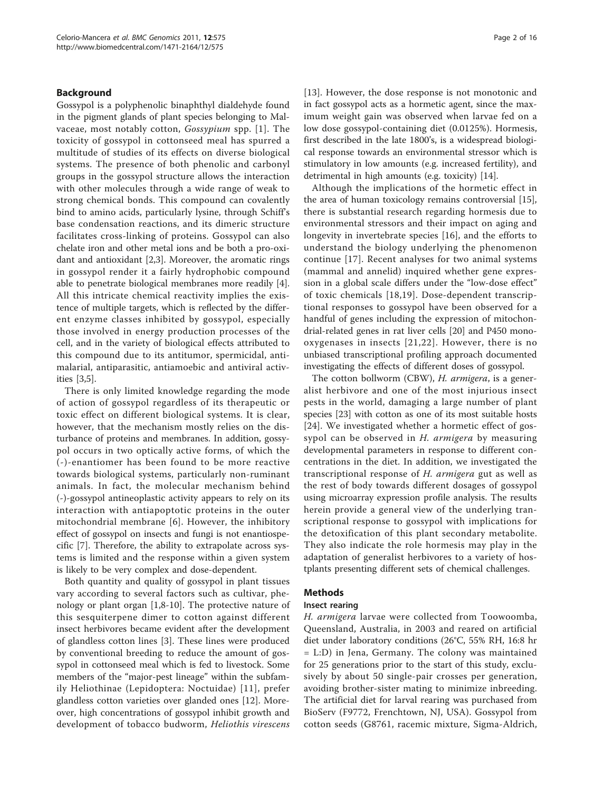## Background

Gossypol is a polyphenolic binaphthyl dialdehyde found in the pigment glands of plant species belonging to Malvaceae, most notably cotton, Gossypium spp. [[1](#page-14-0)]. The toxicity of gossypol in cottonseed meal has spurred a multitude of studies of its effects on diverse biological systems. The presence of both phenolic and carbonyl groups in the gossypol structure allows the interaction with other molecules through a wide range of weak to strong chemical bonds. This compound can covalently bind to amino acids, particularly lysine, through Schiff's base condensation reactions, and its dimeric structure facilitates cross-linking of proteins. Gossypol can also chelate iron and other metal ions and be both a pro-oxidant and antioxidant [\[2,3](#page-14-0)]. Moreover, the aromatic rings in gossypol render it a fairly hydrophobic compound able to penetrate biological membranes more readily [\[4](#page-14-0)]. All this intricate chemical reactivity implies the existence of multiple targets, which is reflected by the different enzyme classes inhibited by gossypol, especially those involved in energy production processes of the cell, and in the variety of biological effects attributed to this compound due to its antitumor, spermicidal, antimalarial, antiparasitic, antiamoebic and antiviral activities [\[3](#page-14-0),[5](#page-14-0)].

There is only limited knowledge regarding the mode of action of gossypol regardless of its therapeutic or toxic effect on different biological systems. It is clear, however, that the mechanism mostly relies on the disturbance of proteins and membranes. In addition, gossypol occurs in two optically active forms, of which the (-)-enantiomer has been found to be more reactive towards biological systems, particularly non-ruminant animals. In fact, the molecular mechanism behind (-)-gossypol antineoplastic activity appears to rely on its interaction with antiapoptotic proteins in the outer mitochondrial membrane [[6](#page-14-0)]. However, the inhibitory effect of gossypol on insects and fungi is not enantiospecific [\[7](#page-14-0)]. Therefore, the ability to extrapolate across systems is limited and the response within a given system is likely to be very complex and dose-dependent.

Both quantity and quality of gossypol in plant tissues vary according to several factors such as cultivar, phenology or plant organ [\[1,8](#page-14-0)-[10\]](#page-14-0). The protective nature of this sesquiterpene dimer to cotton against different insect herbivores became evident after the development of glandless cotton lines [[3\]](#page-14-0). These lines were produced by conventional breeding to reduce the amount of gossypol in cottonseed meal which is fed to livestock. Some members of the "major-pest lineage" within the subfamily Heliothinae (Lepidoptera: Noctuidae) [[11\]](#page-14-0), prefer glandless cotton varieties over glanded ones [[12\]](#page-14-0). Moreover, high concentrations of gossypol inhibit growth and development of tobacco budworm, Heliothis virescens [[13\]](#page-14-0). However, the dose response is not monotonic and in fact gossypol acts as a hormetic agent, since the maximum weight gain was observed when larvae fed on a low dose gossypol-containing diet (0.0125%). Hormesis, first described in the late 1800's, is a widespread biological response towards an environmental stressor which is stimulatory in low amounts (e.g. increased fertility), and detrimental in high amounts (e.g. toxicity) [[14\]](#page-14-0).

Although the implications of the hormetic effect in the area of human toxicology remains controversial [[15](#page-14-0)], there is substantial research regarding hormesis due to environmental stressors and their impact on aging and longevity in invertebrate species [\[16](#page-14-0)], and the efforts to understand the biology underlying the phenomenon continue [[17](#page-14-0)]. Recent analyses for two animal systems (mammal and annelid) inquired whether gene expression in a global scale differs under the "low-dose effect" of toxic chemicals [[18,19\]](#page-14-0). Dose-dependent transcriptional responses to gossypol have been observed for a handful of genes including the expression of mitochondrial-related genes in rat liver cells [[20](#page-14-0)] and P450 monooxygenases in insects [[21,22](#page-14-0)]. However, there is no unbiased transcriptional profiling approach documented investigating the effects of different doses of gossypol.

The cotton bollworm (CBW), *H. armigera*, is a generalist herbivore and one of the most injurious insect pests in the world, damaging a large number of plant species [[23](#page-14-0)] with cotton as one of its most suitable hosts [[24](#page-14-0)]. We investigated whether a hormetic effect of gossypol can be observed in H. armigera by measuring developmental parameters in response to different concentrations in the diet. In addition, we investigated the transcriptional response of H. armigera gut as well as the rest of body towards different dosages of gossypol using microarray expression profile analysis. The results herein provide a general view of the underlying transcriptional response to gossypol with implications for the detoxification of this plant secondary metabolite. They also indicate the role hormesis may play in the adaptation of generalist herbivores to a variety of hostplants presenting different sets of chemical challenges.

## Methods

## Insect rearing

H. armigera larvae were collected from Toowoomba, Queensland, Australia, in 2003 and reared on artificial diet under laboratory conditions (26°C, 55% RH, 16:8 hr = L:D) in Jena, Germany. The colony was maintained for 25 generations prior to the start of this study, exclusively by about 50 single-pair crosses per generation, avoiding brother-sister mating to minimize inbreeding. The artificial diet for larval rearing was purchased from BioServ (F9772, Frenchtown, NJ, USA). Gossypol from cotton seeds (G8761, racemic mixture, Sigma-Aldrich,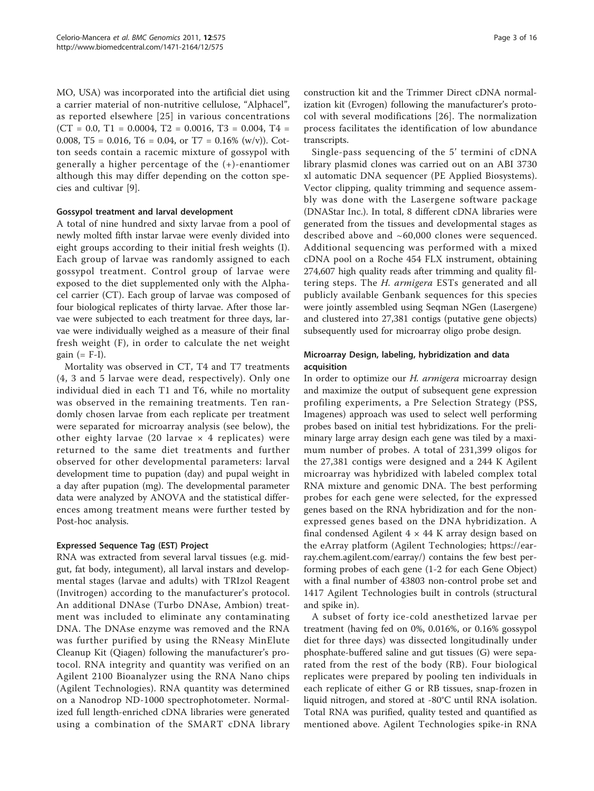MO, USA) was incorporated into the artificial diet using a carrier material of non-nutritive cellulose, "Alphacel", as reported elsewhere [\[25\]](#page-14-0) in various concentrations  $(CT = 0.0, T1 = 0.0004, T2 = 0.0016, T3 = 0.004, T4 =$ 0.008, T5 = 0.016, T6 = 0.04, or T7 = 0.16% (w/v)). Cotton seeds contain a racemic mixture of gossypol with generally a higher percentage of the (+)-enantiomer although this may differ depending on the cotton species and cultivar [\[9\]](#page-14-0).

## Gossypol treatment and larval development

A total of nine hundred and sixty larvae from a pool of newly molted fifth instar larvae were evenly divided into eight groups according to their initial fresh weights (I). Each group of larvae was randomly assigned to each gossypol treatment. Control group of larvae were exposed to the diet supplemented only with the Alphacel carrier (CT). Each group of larvae was composed of four biological replicates of thirty larvae. After those larvae were subjected to each treatment for three days, larvae were individually weighed as a measure of their final fresh weight (F), in order to calculate the net weight gain  $(= F-I)$ .

Mortality was observed in CT, T4 and T7 treatments (4, 3 and 5 larvae were dead, respectively). Only one individual died in each T1 and T6, while no mortality was observed in the remaining treatments. Ten randomly chosen larvae from each replicate per treatment were separated for microarray analysis (see below), the other eighty larvae (20 larvae  $\times$  4 replicates) were returned to the same diet treatments and further observed for other developmental parameters: larval development time to pupation (day) and pupal weight in a day after pupation (mg). The developmental parameter data were analyzed by ANOVA and the statistical differences among treatment means were further tested by Post-hoc analysis.

## Expressed Sequence Tag (EST) Project

RNA was extracted from several larval tissues (e.g. midgut, fat body, integument), all larval instars and developmental stages (larvae and adults) with TRIzol Reagent (Invitrogen) according to the manufacturer's protocol. An additional DNAse (Turbo DNAse, Ambion) treatment was included to eliminate any contaminating DNA. The DNAse enzyme was removed and the RNA was further purified by using the RNeasy MinElute Cleanup Kit (Qiagen) following the manufacturer's protocol. RNA integrity and quantity was verified on an Agilent 2100 Bioanalyzer using the RNA Nano chips (Agilent Technologies). RNA quantity was determined on a Nanodrop ND-1000 spectrophotometer. Normalized full length-enriched cDNA libraries were generated using a combination of the SMART cDNA library

construction kit and the Trimmer Direct cDNA normalization kit (Evrogen) following the manufacturer's protocol with several modifications [[26](#page-14-0)]. The normalization process facilitates the identification of low abundance transcripts.

Single-pass sequencing of the 5' termini of cDNA library plasmid clones was carried out on an ABI 3730 xl automatic DNA sequencer (PE Applied Biosystems). Vector clipping, quality trimming and sequence assembly was done with the Lasergene software package (DNAStar Inc.). In total, 8 different cDNA libraries were generated from the tissues and developmental stages as described above and ~60,000 clones were sequenced. Additional sequencing was performed with a mixed cDNA pool on a Roche 454 FLX instrument, obtaining 274,607 high quality reads after trimming and quality filtering steps. The *H. armigera* ESTs generated and all publicly available Genbank sequences for this species were jointly assembled using Seqman NGen (Lasergene) and clustered into 27,381 contigs (putative gene objects) subsequently used for microarray oligo probe design.

## Microarray Design, labeling, hybridization and data acquisition

In order to optimize our *H. armigera* microarray design and maximize the output of subsequent gene expression profiling experiments, a Pre Selection Strategy (PSS, Imagenes) approach was used to select well performing probes based on initial test hybridizations. For the preliminary large array design each gene was tiled by a maximum number of probes. A total of 231,399 oligos for the 27,381 contigs were designed and a 244 K Agilent microarray was hybridized with labeled complex total RNA mixture and genomic DNA. The best performing probes for each gene were selected, for the expressed genes based on the RNA hybridization and for the nonexpressed genes based on the DNA hybridization. A final condensed Agilent  $4 \times 44$  K array design based on the eArray platform (Agilent Technologies; [https://ear](https://earray.chem.agilent.com/earray/)[ray.chem.agilent.com/earray/\)](https://earray.chem.agilent.com/earray/) contains the few best performing probes of each gene (1-2 for each Gene Object) with a final number of 43803 non-control probe set and 1417 Agilent Technologies built in controls (structural and spike in).

A subset of forty ice-cold anesthetized larvae per treatment (having fed on 0%, 0.016%, or 0.16% gossypol diet for three days) was dissected longitudinally under phosphate-buffered saline and gut tissues (G) were separated from the rest of the body (RB). Four biological replicates were prepared by pooling ten individuals in each replicate of either G or RB tissues, snap-frozen in liquid nitrogen, and stored at -80°C until RNA isolation. Total RNA was purified, quality tested and quantified as mentioned above. Agilent Technologies spike-in RNA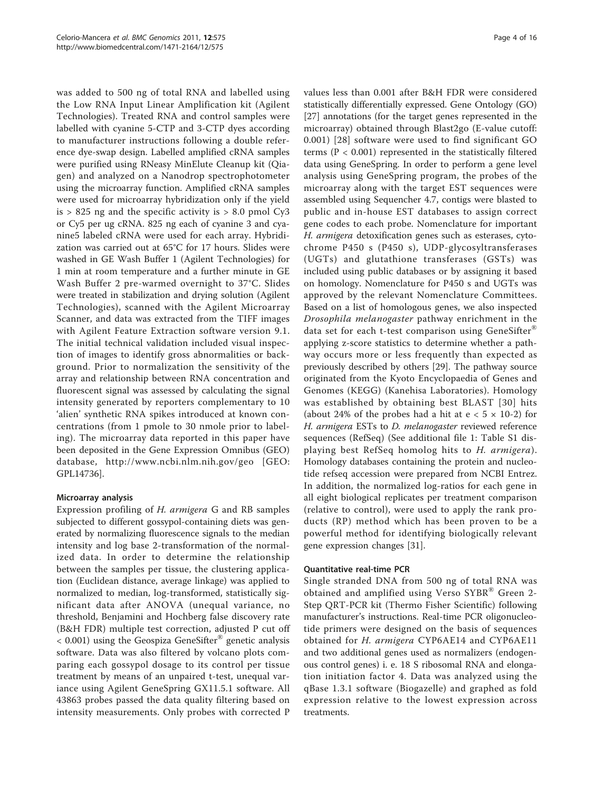was added to 500 ng of total RNA and labelled using the Low RNA Input Linear Amplification kit (Agilent Technologies). Treated RNA and control samples were labelled with cyanine 5-CTP and 3-CTP dyes according to manufacturer instructions following a double reference dye-swap design. Labelled amplified cRNA samples were purified using RNeasy MinElute Cleanup kit (Qiagen) and analyzed on a Nanodrop spectrophotometer using the microarray function. Amplified cRNA samples were used for microarray hybridization only if the yield is  $> 825$  ng and the specific activity is  $> 8.0$  pmol Cy3 or Cy5 per ug cRNA. 825 ng each of cyanine 3 and cyanine5 labeled cRNA were used for each array. Hybridization was carried out at 65°C for 17 hours. Slides were washed in GE Wash Buffer 1 (Agilent Technologies) for 1 min at room temperature and a further minute in GE Wash Buffer 2 pre-warmed overnight to 37°C. Slides were treated in stabilization and drying solution (Agilent Technologies), scanned with the Agilent Microarray Scanner, and data was extracted from the TIFF images with Agilent Feature Extraction software version 9.1. The initial technical validation included visual inspection of images to identify gross abnormalities or background. Prior to normalization the sensitivity of the array and relationship between RNA concentration and fluorescent signal was assessed by calculating the signal intensity generated by reporters complementary to 10 'alien' synthetic RNA spikes introduced at known concentrations (from 1 pmole to 30 nmole prior to labeling). The microarray data reported in this paper have been deposited in the Gene Expression Omnibus (GEO) database,<http://www.ncbi.nlm.nih.gov/geo> [GEO: GPL14736].

## Microarray analysis

Expression profiling of H. armigera G and RB samples subjected to different gossypol-containing diets was generated by normalizing fluorescence signals to the median intensity and log base 2-transformation of the normalized data. In order to determine the relationship between the samples per tissue, the clustering application (Euclidean distance, average linkage) was applied to normalized to median, log-transformed, statistically significant data after ANOVA (unequal variance, no threshold, Benjamini and Hochberg false discovery rate (B&H FDR) multiple test correction, adjusted P cut off  $< 0.001$ ) using the Geospiza GeneSifter<sup>®</sup> genetic analysis software. Data was also filtered by volcano plots comparing each gossypol dosage to its control per tissue treatment by means of an unpaired t-test, unequal variance using Agilent GeneSpring GX11.5.1 software. All 43863 probes passed the data quality filtering based on intensity measurements. Only probes with corrected P values less than 0.001 after B&H FDR were considered statistically differentially expressed. Gene Ontology (GO) [[27\]](#page-14-0) annotations (for the target genes represented in the microarray) obtained through Blast2go (E-value cutoff: 0.001) [[28](#page-14-0)] software were used to find significant GO terms ( $P < 0.001$ ) represented in the statistically filtered data using GeneSpring. In order to perform a gene level analysis using GeneSpring program, the probes of the microarray along with the target EST sequences were assembled using Sequencher 4.7, contigs were blasted to public and in-house EST databases to assign correct gene codes to each probe. Nomenclature for important H. armigera detoxification genes such as esterases, cytochrome P450 s (P450 s), UDP-glycosyltransferases (UGTs) and glutathione transferases (GSTs) was included using public databases or by assigning it based on homology. Nomenclature for P450 s and UGTs was approved by the relevant Nomenclature Committees. Based on a list of homologous genes, we also inspected Drosophila melanogaster pathway enrichment in the data set for each t-test comparison using GeneSifter® applying z-score statistics to determine whether a pathway occurs more or less frequently than expected as previously described by others [[29\]](#page-14-0). The pathway source originated from the Kyoto Encyclopaedia of Genes and Genomes (KEGG) (Kanehisa Laboratories). Homology was established by obtaining best BLAST [[30](#page-14-0)] hits (about 24% of the probes had a hit at  $e < 5 \times 10-2$ ) for H. armigera ESTs to D. melanogaster reviewed reference sequences (RefSeq) (See additional file [1:](#page-13-0) Table S1 displaying best RefSeq homolog hits to H. armigera). Homology databases containing the protein and nucleotide refseq accession were prepared from NCBI Entrez. In addition, the normalized log-ratios for each gene in all eight biological replicates per treatment comparison (relative to control), were used to apply the rank products (RP) method which has been proven to be a powerful method for identifying biologically relevant gene expression changes [[31](#page-14-0)].

## Quantitative real-time PCR

Single stranded DNA from 500 ng of total RNA was obtained and amplified using Verso SYBR® Green 2-Step QRT-PCR kit (Thermo Fisher Scientific) following manufacturer's instructions. Real-time PCR oligonucleotide primers were designed on the basis of sequences obtained for H. armigera CYP6AE14 and CYP6AE11 and two additional genes used as normalizers (endogenous control genes) i. e. 18 S ribosomal RNA and elongation initiation factor 4. Data was analyzed using the qBase 1.3.1 software (Biogazelle) and graphed as fold expression relative to the lowest expression across treatments.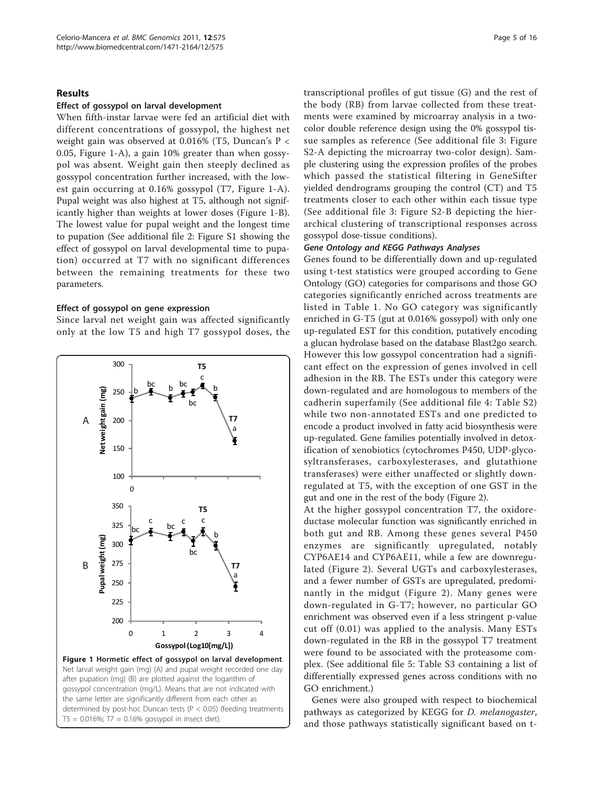## <span id="page-4-0"></span>Results

## Effect of gossypol on larval development

When fifth-instar larvae were fed an artificial diet with different concentrations of gossypol, the highest net weight gain was observed at 0.016% (T5, Duncan's P < 0.05, Figure 1-A), a gain 10% greater than when gossypol was absent. Weight gain then steeply declined as gossypol concentration further increased, with the lowest gain occurring at 0.16% gossypol (T7, Figure 1-A). Pupal weight was also highest at T5, although not significantly higher than weights at lower doses (Figure 1-B). The lowest value for pupal weight and the longest time to pupation (See additional file [2:](#page-13-0) Figure S1 showing the effect of gossypol on larval developmental time to pupation) occurred at T7 with no significant differences between the remaining treatments for these two parameters.

## Effect of gossypol on gene expression

Since larval net weight gain was affected significantly only at the low T5 and high T7 gossypol doses, the



transcriptional profiles of gut tissue (G) and the rest of the body (RB) from larvae collected from these treatments were examined by microarray analysis in a twocolor double reference design using the 0% gossypol tissue samples as reference (See additional file [3:](#page-13-0) Figure S2-A depicting the microarray two-color design). Sample clustering using the expression profiles of the probes which passed the statistical filtering in GeneSifter yielded dendrograms grouping the control (CT) and T5 treatments closer to each other within each tissue type (See additional file [3:](#page-13-0) Figure S2-B depicting the hierarchical clustering of transcriptional responses across gossypol dose-tissue conditions).

## Gene Ontology and KEGG Pathways Analyses

Genes found to be differentially down and up-regulated using t-test statistics were grouped according to Gene Ontology (GO) categories for comparisons and those GO categories significantly enriched across treatments are listed in Table [1.](#page-5-0) No GO category was significantly enriched in G-T5 (gut at 0.016% gossypol) with only one up-regulated EST for this condition, putatively encoding a glucan hydrolase based on the database Blast2go search. However this low gossypol concentration had a significant effect on the expression of genes involved in cell adhesion in the RB. The ESTs under this category were down-regulated and are homologous to members of the cadherin superfamily (See additional file [4](#page-13-0): Table S2) while two non-annotated ESTs and one predicted to encode a product involved in fatty acid biosynthesis were up-regulated. Gene families potentially involved in detoxification of xenobiotics (cytochromes P450, UDP-glycosyltransferases, carboxylesterases, and glutathione transferases) were either unaffected or slightly downregulated at T5, with the exception of one GST in the gut and one in the rest of the body (Figure [2\)](#page-7-0).

At the higher gossypol concentration T7, the oxidoreductase molecular function was significantly enriched in both gut and RB. Among these genes several P450 enzymes are significantly upregulated, notably CYP6AE14 and CYP6AE11, while a few are downregulated (Figure [2\)](#page-7-0). Several UGTs and carboxylesterases, and a fewer number of GSTs are upregulated, predominantly in the midgut (Figure [2](#page-7-0)). Many genes were down-regulated in G-T7; however, no particular GO enrichment was observed even if a less stringent p-value cut off (0.01) was applied to the analysis. Many ESTs down-regulated in the RB in the gossypol T7 treatment were found to be associated with the proteasome complex. (See additional file [5:](#page-13-0) Table S3 containing a list of differentially expressed genes across conditions with no GO enrichment.)

Genes were also grouped with respect to biochemical pathways as categorized by KEGG for D. melanogaster, and those pathways statistically significant based on t-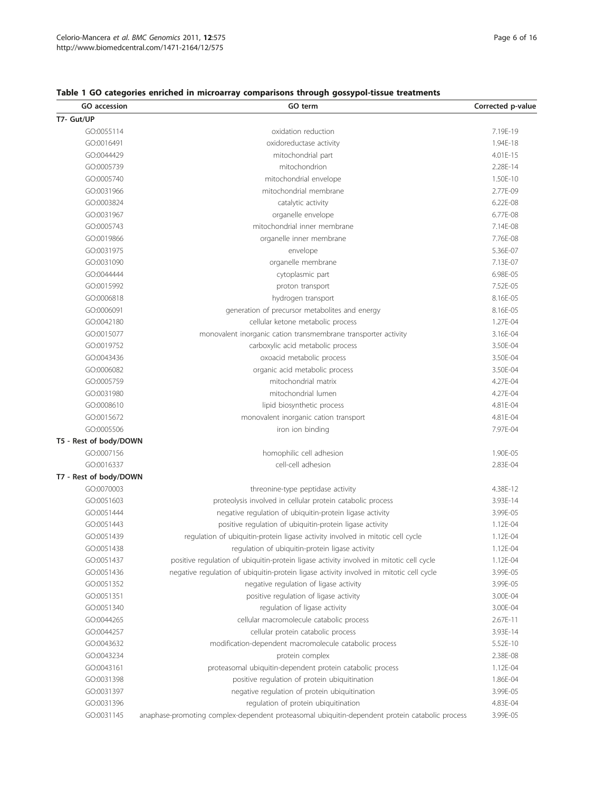## GO accession **GO term** GO term Corrected p-value T7- Gut/UP GO:0055114 **CO:0055114 CO:0055114 CO:0055114 CO:0055114 CO:0055114 CO:0055114 CO:0055114 CO:0055114** GO:0016491 oxidoreductase activity 1.94E-18 GO:0044429 mitochondrial part 4.01E-15 GO:0005739 mitochondrion 2.28E-14 GO:0005740 mitochondrial envelope 1.50E-10 GO:0031966 mitochondrial membrane 2.77E-09 GO:0003824 **catalytic activity** catalytic activity **6.22E-08** GO:0031967 organelle envelope 6.77E-08 GO:0005743 mitochondrial inner membrane 7.14E-08 GO:0019866 organelle inner membrane 7.76E-08 GO:0031975 envelope 5.36E-07 GO:0031090 organelle membrane 7.13E-07 GO:0044444 **cytoplasmic part** 6.98E-05 GO:0015992 **proton transport proton transport 1.52E-05** GO:0006818 **by a struck and the set of the struck of the struck and the struck of the struck of the struck of the struck of the struck of the struck of the struck of the struck of the struck of the struck of the struck of** GO:0006091 **generation of precursor metabolites and energy** 8.16E-05 GO:0042180 cellular ketone metabolic process 1.27E-04 GO:0015077 monovalent inorganic cation transmembrane transporter activity 3.16E-04 GO:0019752 carboxylic acid metabolic process 3.50E-04 GO:0043436 oxoacid metabolic process 3.50E-04 GO:0006082 organic acid metabolic process 3.50E-04 GO:0005759 mitochondrial matrix 4.27E-04 GO:0031980 mitochondrial lumen 4.27E-04 GO:0008610 **and a struck of the contract of the contract of the contract of the contract of the contract of the contract of the contract of GO:0008610 <b>4.81E-04** GO:0015672 **monovalent inorganic cation transport** 60:0015672 4.81E-04 GO:0005506 iron ion binding 7.97E-04 T5 - Rest of body/DOWN GO:0007156 **homophilic cell adhesion** 1.90E-05 **homophilic cell adhesion** 1.90E-05 GO:0016337 cell-cell adhesion 2.83E-04 T7 - Rest of body/DOWN GO:0070003 threonine-type peptidase activity 4.38E-12 GO:0051603 **proteolysis involved in cellular protein catabolic process** 3.93E-14 GO:0051444 **negative regulation of ubiquitin-protein ligase activity** 3.99E-05 GO:0051443 **Positive regulation of ubiquitin-protein ligase activity** 1.12E-04 GO:0051439 regulation of ubiquitin-protein ligase activity involved in mitotic cell cycle 1.12E-04 GO:0051438 regulation of ubiquitin-protein ligase activity contracts and the 1.12E-04 GO:0051437 positive regulation of ubiquitin-protein ligase activity involved in mitotic cell cycle 1.12E-04 GO:0051436 negative regulation of ubiquitin-protein ligase activity involved in mitotic cell cycle 3.99E-05 GO:0051352 **negative regulation of ligase activity** 3.99E-05 and 3.99E-05 GO:0051351 **but a constant of ligase activity** 3.00E-04 **3.00E-04** GO:0051340 **regulation of ligase activity** 3.00E-04 **3.00E-04** GO:0044265 cellular macromolecule catabolic process 2.67E-11 GO:0044257 cellular protein catabolic process 3.93E-14 GO:0043632 modification-dependent macromolecule catabolic process 5.52E-10 GO:0043234 protein complex 2.38E-08 GO:0043161 **broteasomal ubiquitin-dependent protein catabolic process** 1.12E-04 GO:0031398 **positive regulation of protein ubiquitination** 1.86E-04 GO:0031397 **negative regulation of protein ubiquitination** 3.99E-05 GO:0031396 **regulation of protein ubiquitination 1.83E-04 4.83E-04**

## <span id="page-5-0"></span>Table 1 GO categories enriched in microarray comparisons through gossypol-tissue treatments

GO:0031145 anaphase-promoting complex-dependent proteasomal ubiquitin-dependent protein catabolic process 3.99E-05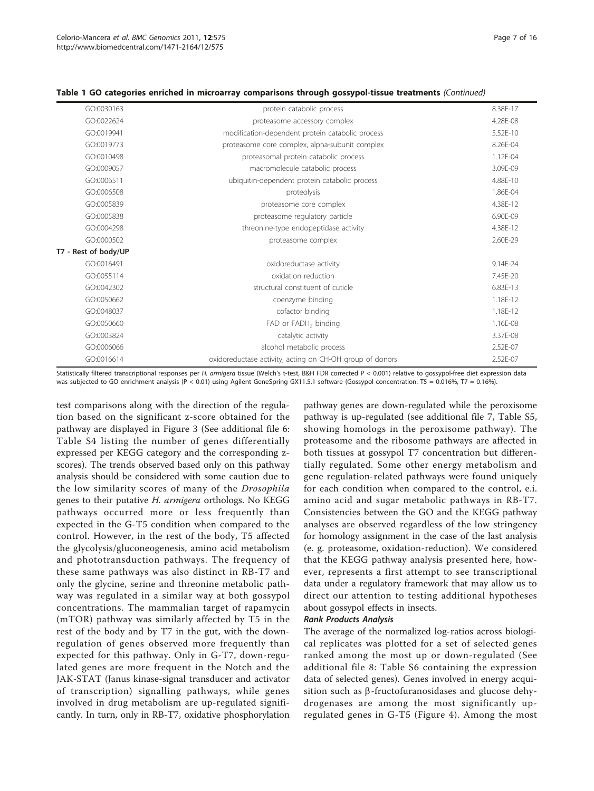|  |  |  |  |  |  |  | Table 1 GO categories enriched in microarray comparisons through gossypol-tissue treatments (Continued) |  |  |
|--|--|--|--|--|--|--|---------------------------------------------------------------------------------------------------------|--|--|
|--|--|--|--|--|--|--|---------------------------------------------------------------------------------------------------------|--|--|

| GO:0030163           | protein catabolic process                                | 8.38E-17 |
|----------------------|----------------------------------------------------------|----------|
| GO:0022624           | proteasome accessory complex                             | 4.28E-08 |
| GO:0019941           | modification-dependent protein catabolic process         | 5.52E-10 |
| GO:0019773           | proteasome core complex, alpha-subunit complex           | 8.26F-04 |
| GO:0010498           | proteasomal protein catabolic process                    | 1.12E-04 |
| GO:0009057           | macromolecule catabolic process                          | 3.09E-09 |
| GO:0006511           | ubiquitin-dependent protein catabolic process            | 4.88F-10 |
| GO:0006508           | proteolysis                                              | 1.86E-04 |
| GO:0005839           | proteasome core complex                                  | 4.38E-12 |
| GO:0005838           | proteasome regulatory particle                           | 6.90E-09 |
| GO:0004298           | threonine-type endopeptidase activity                    | 4.38E-12 |
| GO:0000502           | proteasome complex                                       | 2.60E-29 |
| T7 - Rest of body/UP |                                                          |          |
| GO:0016491           | oxidoreductase activity                                  | 9.14E-24 |
| GO:0055114           | oxidation reduction                                      | 7.45E-20 |
| GO:0042302           | structural constituent of cuticle                        | 6.83E-13 |
| GO:0050662           | coenzyme binding                                         | 1.18E-12 |
| GO:0048037           | cofactor binding                                         | 1.18E-12 |
| GO:0050660           | FAD or FADH <sub>2</sub> binding                         | 1.16E-08 |
| GO:0003824           | catalytic activity                                       | 3.37E-08 |
| GO:0006066           | alcohol metabolic process                                | 2.52E-07 |
| GO:0016614           | oxidoreductase activity, acting on CH-OH group of donors | 2.52E-07 |

Statistically filtered transcriptional responses per H. armigera tissue (Welch's t-test, B&H FDR corrected P < 0.001) relative to gossypol-free diet expression data was subjected to GO enrichment analysis (P < 0.01) using Agilent GeneSpring GX11.5.1 software (Gossypol concentration: T5 = 0.01%, T7 = 0.16%).

test comparisons along with the direction of the regulation based on the significant z-score obtained for the pathway are displayed in Figure [3](#page-8-0) (See additional file [6](#page-13-0): Table S4 listing the number of genes differentially expressed per KEGG category and the corresponding zscores). The trends observed based only on this pathway analysis should be considered with some caution due to the low similarity scores of many of the Drosophila genes to their putative H. armigera orthologs. No KEGG pathways occurred more or less frequently than expected in the G-T5 condition when compared to the control. However, in the rest of the body, T5 affected the glycolysis/gluconeogenesis, amino acid metabolism and phototransduction pathways. The frequency of these same pathways was also distinct in RB-T7 and only the glycine, serine and threonine metabolic pathway was regulated in a similar way at both gossypol concentrations. The mammalian target of rapamycin (mTOR) pathway was similarly affected by T5 in the rest of the body and by T7 in the gut, with the downregulation of genes observed more frequently than expected for this pathway. Only in G-T7, down-regulated genes are more frequent in the Notch and the JAK-STAT (Janus kinase-signal transducer and activator of transcription) signalling pathways, while genes involved in drug metabolism are up-regulated significantly. In turn, only in RB-T7, oxidative phosphorylation

pathway genes are down-regulated while the peroxisome pathway is up-regulated (see additional file [7,](#page-13-0) Table S5, showing homologs in the peroxisome pathway). The proteasome and the ribosome pathways are affected in both tissues at gossypol T7 concentration but differentially regulated. Some other energy metabolism and gene regulation-related pathways were found uniquely for each condition when compared to the control, e.i. amino acid and sugar metabolic pathways in RB-T7. Consistencies between the GO and the KEGG pathway analyses are observed regardless of the low stringency for homology assignment in the case of the last analysis (e. g. proteasome, oxidation-reduction). We considered that the KEGG pathway analysis presented here, however, represents a first attempt to see transcriptional data under a regulatory framework that may allow us to direct our attention to testing additional hypotheses about gossypol effects in insects.

## Rank Products Analysis

The average of the normalized log-ratios across biological replicates was plotted for a set of selected genes ranked among the most up or down-regulated (See additional file [8](#page-13-0): Table S6 containing the expression data of selected genes). Genes involved in energy acquisition such as  $\beta$ -fructofuranosidases and glucose dehydrogenases are among the most significantly upregulated genes in G-T5 (Figure [4](#page-9-0)). Among the most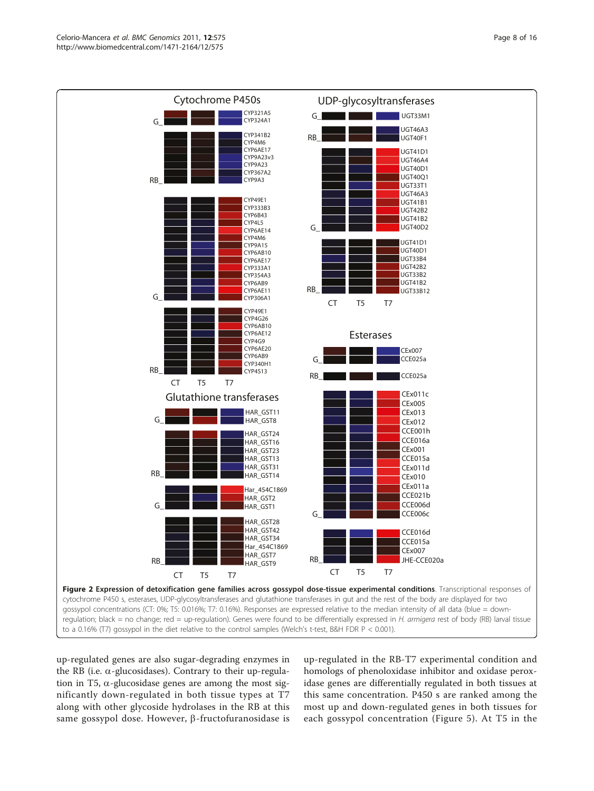<span id="page-7-0"></span>

up-regulated genes are also sugar-degrading enzymes in the RB (i.e.  $\alpha$ -glucosidases). Contrary to their up-regulation in T5,  $\alpha$ -glucosidase genes are among the most significantly down-regulated in both tissue types at T7 along with other glycoside hydrolases in the RB at this same gossypol dose. However,  $\beta$ -fructofuranosidase is

up-regulated in the RB-T7 experimental condition and homologs of phenoloxidase inhibitor and oxidase peroxidase genes are differentially regulated in both tissues at this same concentration. P450 s are ranked among the most up and down-regulated genes in both tissues for each gossypol concentration (Figure [5](#page-10-0)). At T5 in the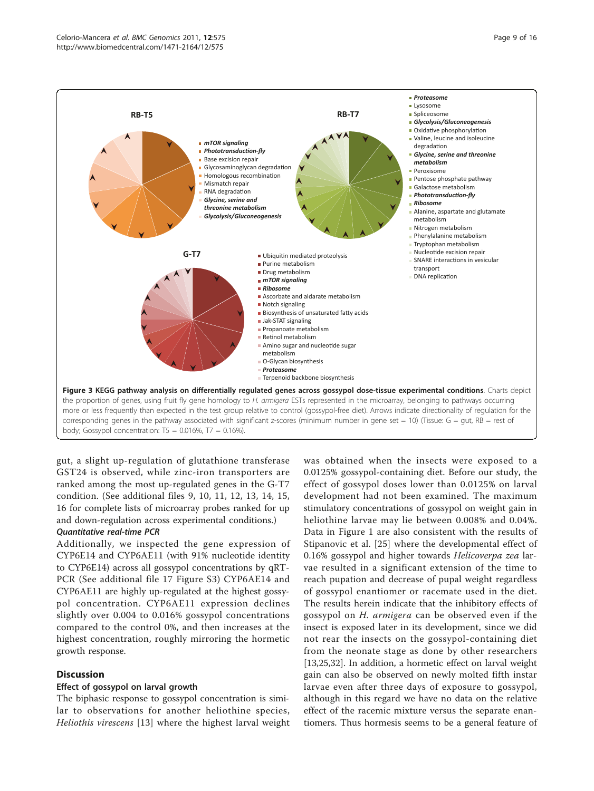<span id="page-8-0"></span>

gut, a slight up-regulation of glutathione transferase GST24 is observed, while zinc-iron transporters are ranked among the most up-regulated genes in the G-T7 condition. (See additional files [9, 10, 11](#page-13-0), [12](#page-13-0), [13, 14, 15](#page-13-0), [16](#page-13-0) for complete lists of microarray probes ranked for up and down-regulation across experimental conditions.)

## Quantitative real-time PCR

Additionally, we inspected the gene expression of CYP6E14 and CYP6AE11 (with 91% nucleotide identity to CYP6E14) across all gossypol concentrations by qRT-PCR (See additional file [17](#page-13-0) Figure S3) CYP6AE14 and CYP6AE11 are highly up-regulated at the highest gossypol concentration. CYP6AE11 expression declines slightly over 0.004 to 0.016% gossypol concentrations compared to the control 0%, and then increases at the highest concentration, roughly mirroring the hormetic growth response.

## **Discussion**

## Effect of gossypol on larval growth

The biphasic response to gossypol concentration is similar to observations for another heliothine species, Heliothis virescens [[13\]](#page-14-0) where the highest larval weight was obtained when the insects were exposed to a 0.0125% gossypol-containing diet. Before our study, the effect of gossypol doses lower than 0.0125% on larval development had not been examined. The maximum stimulatory concentrations of gossypol on weight gain in heliothine larvae may lie between 0.008% and 0.04%. Data in Figure [1](#page-4-0) are also consistent with the results of Stipanovic et al. [[25\]](#page-14-0) where the developmental effect of 0.16% gossypol and higher towards Helicoverpa zea larvae resulted in a significant extension of the time to reach pupation and decrease of pupal weight regardless of gossypol enantiomer or racemate used in the diet. The results herein indicate that the inhibitory effects of gossypol on H. armigera can be observed even if the insect is exposed later in its development, since we did not rear the insects on the gossypol-containing diet from the neonate stage as done by other researchers [[13,25,32](#page-14-0)]. In addition, a hormetic effect on larval weight gain can also be observed on newly molted fifth instar larvae even after three days of exposure to gossypol, although in this regard we have no data on the relative effect of the racemic mixture versus the separate enantiomers. Thus hormesis seems to be a general feature of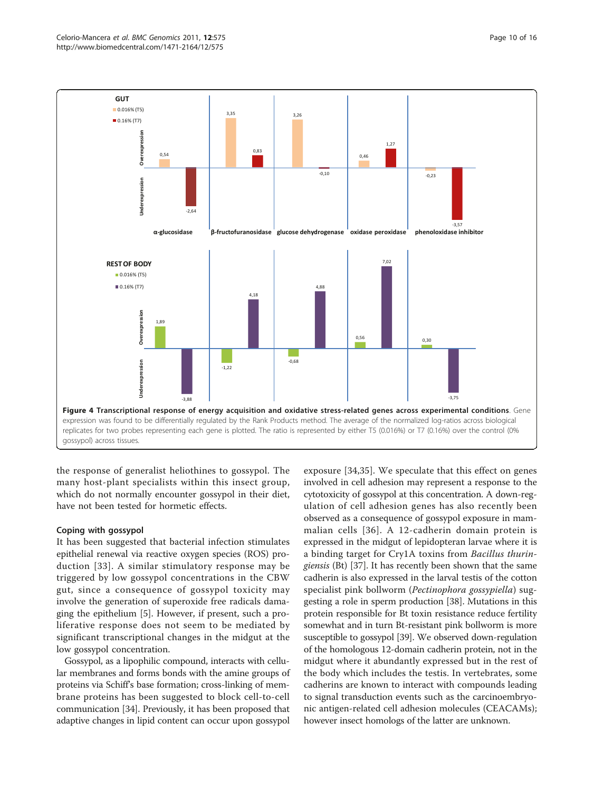<span id="page-9-0"></span>

the response of generalist heliothines to gossypol. The many host-plant specialists within this insect group, which do not normally encounter gossypol in their diet, have not been tested for hormetic effects.

## Coping with gossypol

It has been suggested that bacterial infection stimulates epithelial renewal via reactive oxygen species (ROS) production [[33](#page-14-0)]. A similar stimulatory response may be triggered by low gossypol concentrations in the CBW gut, since a consequence of gossypol toxicity may involve the generation of superoxide free radicals damaging the epithelium [[5](#page-14-0)]. However, if present, such a proliferative response does not seem to be mediated by significant transcriptional changes in the midgut at the low gossypol concentration.

Gossypol, as a lipophilic compound, interacts with cellular membranes and forms bonds with the amine groups of proteins via Schiff's base formation; cross-linking of membrane proteins has been suggested to block cell-to-cell communication [[34](#page-14-0)]. Previously, it has been proposed that adaptive changes in lipid content can occur upon gossypol

exposure [\[34,35\]](#page-14-0). We speculate that this effect on genes involved in cell adhesion may represent a response to the cytotoxicity of gossypol at this concentration. A down-regulation of cell adhesion genes has also recently been observed as a consequence of gossypol exposure in mammalian cells [[36](#page-14-0)]. A 12-cadherin domain protein is expressed in the midgut of lepidopteran larvae where it is a binding target for Cry1A toxins from Bacillus thuringiensis (Bt) [\[37](#page-14-0)]. It has recently been shown that the same cadherin is also expressed in the larval testis of the cotton specialist pink bollworm (Pectinophora gossypiella) suggesting a role in sperm production [[38\]](#page-14-0). Mutations in this protein responsible for Bt toxin resistance reduce fertility somewhat and in turn Bt-resistant pink bollworm is more susceptible to gossypol [\[39](#page-14-0)]. We observed down-regulation of the homologous 12-domain cadherin protein, not in the midgut where it abundantly expressed but in the rest of the body which includes the testis. In vertebrates, some cadherins are known to interact with compounds leading to signal transduction events such as the carcinoembryonic antigen-related cell adhesion molecules (CEACAMs); however insect homologs of the latter are unknown.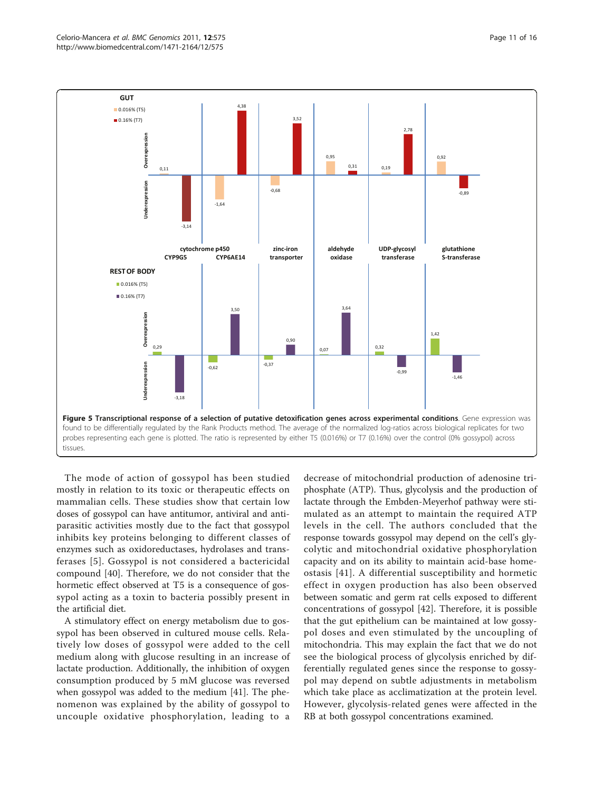<span id="page-10-0"></span>

The mode of action of gossypol has been studied mostly in relation to its toxic or therapeutic effects on mammalian cells. These studies show that certain low doses of gossypol can have antitumor, antiviral and antiparasitic activities mostly due to the fact that gossypol inhibits key proteins belonging to different classes of enzymes such as oxidoreductases, hydrolases and transferases [\[5\]](#page-14-0). Gossypol is not considered a bactericidal compound [[40\]](#page-14-0). Therefore, we do not consider that the hormetic effect observed at T5 is a consequence of gossypol acting as a toxin to bacteria possibly present in the artificial diet.

A stimulatory effect on energy metabolism due to gossypol has been observed in cultured mouse cells. Relatively low doses of gossypol were added to the cell medium along with glucose resulting in an increase of lactate production. Additionally, the inhibition of oxygen consumption produced by 5 mM glucose was reversed when gossypol was added to the medium [\[41\]](#page-14-0). The phenomenon was explained by the ability of gossypol to uncouple oxidative phosphorylation, leading to a

decrease of mitochondrial production of adenosine triphosphate (ATP). Thus, glycolysis and the production of lactate through the Embden-Meyerhof pathway were stimulated as an attempt to maintain the required ATP levels in the cell. The authors concluded that the response towards gossypol may depend on the cell's glycolytic and mitochondrial oxidative phosphorylation capacity and on its ability to maintain acid-base homeostasis [[41](#page-14-0)]. A differential susceptibility and hormetic effect in oxygen production has also been observed between somatic and germ rat cells exposed to different concentrations of gossypol [[42\]](#page-14-0). Therefore, it is possible that the gut epithelium can be maintained at low gossypol doses and even stimulated by the uncoupling of mitochondria. This may explain the fact that we do not see the biological process of glycolysis enriched by differentially regulated genes since the response to gossypol may depend on subtle adjustments in metabolism which take place as acclimatization at the protein level. However, glycolysis-related genes were affected in the RB at both gossypol concentrations examined.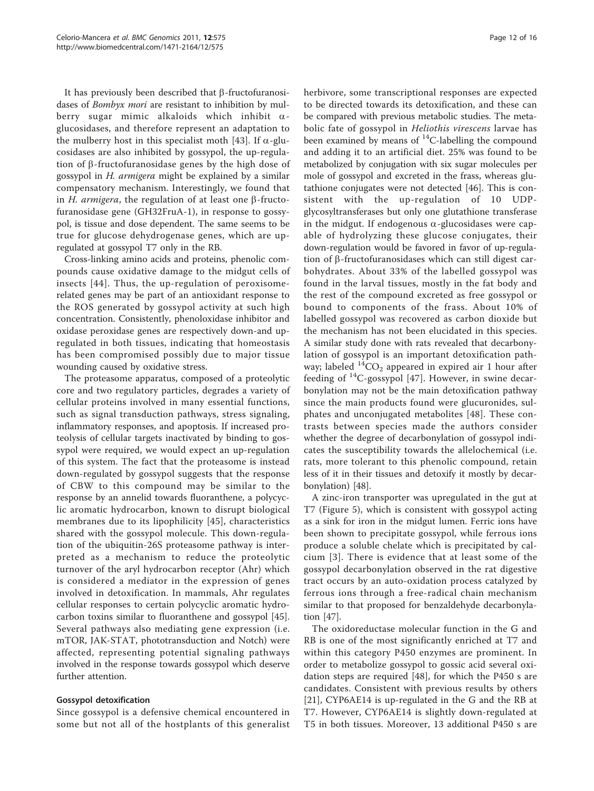It has previously been described that  $\beta$ -fructofuranosidases of *Bombyx mori* are resistant to inhibition by mulberry sugar mimic alkaloids which inhibit  $\alpha$ glucosidases, and therefore represent an adaptation to the mulberry host in this specialist moth [[43\]](#page-14-0). If  $\alpha$ -glucosidases are also inhibited by gossypol, the up-regulation of  $\beta$ -fructofuranosidase genes by the high dose of gossypol in H. armigera might be explained by a similar compensatory mechanism. Interestingly, we found that in H. armigera, the regulation of at least one  $\beta$ -fructofuranosidase gene (GH32FruA-1), in response to gossypol, is tissue and dose dependent. The same seems to be true for glucose dehydrogenase genes, which are upregulated at gossypol T7 only in the RB.

Cross-linking amino acids and proteins, phenolic compounds cause oxidative damage to the midgut cells of insects [[44](#page-14-0)]. Thus, the up-regulation of peroxisomerelated genes may be part of an antioxidant response to the ROS generated by gossypol activity at such high concentration. Consistently, phenoloxidase inhibitor and oxidase peroxidase genes are respectively down-and upregulated in both tissues, indicating that homeostasis has been compromised possibly due to major tissue wounding caused by oxidative stress.

The proteasome apparatus, composed of a proteolytic core and two regulatory particles, degrades a variety of cellular proteins involved in many essential functions, such as signal transduction pathways, stress signaling, inflammatory responses, and apoptosis. If increased proteolysis of cellular targets inactivated by binding to gossypol were required, we would expect an up-regulation of this system. The fact that the proteasome is instead down-regulated by gossypol suggests that the response of CBW to this compound may be similar to the response by an annelid towards fluoranthene, a polycyclic aromatic hydrocarbon, known to disrupt biological membranes due to its lipophilicity [[45\]](#page-15-0), characteristics shared with the gossypol molecule. This down-regulation of the ubiquitin-26S proteasome pathway is interpreted as a mechanism to reduce the proteolytic turnover of the aryl hydrocarbon receptor (Ahr) which is considered a mediator in the expression of genes involved in detoxification. In mammals, Ahr regulates cellular responses to certain polycyclic aromatic hydrocarbon toxins similar to fluoranthene and gossypol [\[45](#page-15-0)]. Several pathways also mediating gene expression (i.e. mTOR, JAK-STAT, phototransduction and Notch) were affected, representing potential signaling pathways involved in the response towards gossypol which deserve further attention.

## Gossypol detoxification

Since gossypol is a defensive chemical encountered in some but not all of the hostplants of this generalist herbivore, some transcriptional responses are expected to be directed towards its detoxification, and these can be compared with previous metabolic studies. The metabolic fate of gossypol in Heliothis virescens larvae has been examined by means of  $^{14}$ C-labelling the compound and adding it to an artificial diet. 25% was found to be metabolized by conjugation with six sugar molecules per mole of gossypol and excreted in the frass, whereas glutathione conjugates were not detected [[46\]](#page-15-0). This is consistent with the up-regulation of 10 UDPglycosyltransferases but only one glutathione transferase in the midgut. If endogenous  $\alpha$ -glucosidases were capable of hydrolyzing these glucose conjugates, their down-regulation would be favored in favor of up-regulation of  $\beta$ -fructofuranosidases which can still digest carbohydrates. About 33% of the labelled gossypol was found in the larval tissues, mostly in the fat body and the rest of the compound excreted as free gossypol or bound to components of the frass. About 10% of labelled gossypol was recovered as carbon dioxide but the mechanism has not been elucidated in this species. A similar study done with rats revealed that decarbonylation of gossypol is an important detoxification pathway; labeled  ${}^{14}CO_2$  appeared in expired air 1 hour after feeding of  $^{14}$ C-gossypol [[47](#page-15-0)]. However, in swine decarbonylation may not be the main detoxification pathway since the main products found were glucuronides, sulphates and unconjugated metabolites [\[48\]](#page-15-0). These contrasts between species made the authors consider whether the degree of decarbonylation of gossypol indicates the susceptibility towards the allelochemical (i.e. rats, more tolerant to this phenolic compound, retain less of it in their tissues and detoxify it mostly by decarbonylation) [\[48](#page-15-0)].

A zinc-iron transporter was upregulated in the gut at T7 (Figure [5](#page-10-0)), which is consistent with gossypol acting as a sink for iron in the midgut lumen. Ferric ions have been shown to precipitate gossypol, while ferrous ions produce a soluble chelate which is precipitated by calcium [[3\]](#page-14-0). There is evidence that at least some of the gossypol decarbonylation observed in the rat digestive tract occurs by an auto-oxidation process catalyzed by ferrous ions through a free-radical chain mechanism similar to that proposed for benzaldehyde decarbonylation [\[47](#page-15-0)].

The oxidoreductase molecular function in the G and RB is one of the most significantly enriched at T7 and within this category P450 enzymes are prominent. In order to metabolize gossypol to gossic acid several oxidation steps are required [\[48](#page-15-0)], for which the P450 s are candidates. Consistent with previous results by others [[21\]](#page-14-0), CYP6AE14 is up-regulated in the G and the RB at T7. However, CYP6AE14 is slightly down-regulated at T5 in both tissues. Moreover, 13 additional P450 s are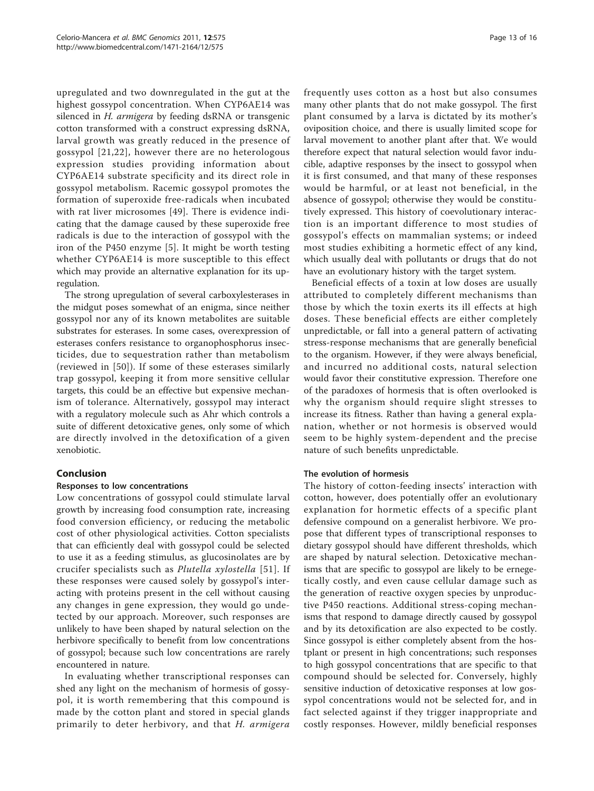upregulated and two downregulated in the gut at the highest gossypol concentration. When CYP6AE14 was silenced in H. armigera by feeding dsRNA or transgenic cotton transformed with a construct expressing dsRNA, larval growth was greatly reduced in the presence of gossypol [\[21](#page-14-0),[22](#page-14-0)], however there are no heterologous expression studies providing information about CYP6AE14 substrate specificity and its direct role in gossypol metabolism. Racemic gossypol promotes the formation of superoxide free-radicals when incubated with rat liver microsomes [[49](#page-15-0)]. There is evidence indicating that the damage caused by these superoxide free radicals is due to the interaction of gossypol with the iron of the P450 enzyme [[5\]](#page-14-0). It might be worth testing whether CYP6AE14 is more susceptible to this effect which may provide an alternative explanation for its upregulation.

The strong upregulation of several carboxylesterases in the midgut poses somewhat of an enigma, since neither gossypol nor any of its known metabolites are suitable substrates for esterases. In some cases, overexpression of esterases confers resistance to organophosphorus insecticides, due to sequestration rather than metabolism (reviewed in [[50\]](#page-15-0)). If some of these esterases similarly trap gossypol, keeping it from more sensitive cellular targets, this could be an effective but expensive mechanism of tolerance. Alternatively, gossypol may interact with a regulatory molecule such as Ahr which controls a suite of different detoxicative genes, only some of which are directly involved in the detoxification of a given xenobiotic.

## Conclusion

## Responses to low concentrations

Low concentrations of gossypol could stimulate larval growth by increasing food consumption rate, increasing food conversion efficiency, or reducing the metabolic cost of other physiological activities. Cotton specialists that can efficiently deal with gossypol could be selected to use it as a feeding stimulus, as glucosinolates are by crucifer specialists such as Plutella xylostella [[51\]](#page-15-0). If these responses were caused solely by gossypol's interacting with proteins present in the cell without causing any changes in gene expression, they would go undetected by our approach. Moreover, such responses are unlikely to have been shaped by natural selection on the herbivore specifically to benefit from low concentrations of gossypol; because such low concentrations are rarely encountered in nature.

In evaluating whether transcriptional responses can shed any light on the mechanism of hormesis of gossypol, it is worth remembering that this compound is made by the cotton plant and stored in special glands primarily to deter herbivory, and that H. armigera frequently uses cotton as a host but also consumes many other plants that do not make gossypol. The first plant consumed by a larva is dictated by its mother's oviposition choice, and there is usually limited scope for larval movement to another plant after that. We would therefore expect that natural selection would favor inducible, adaptive responses by the insect to gossypol when it is first consumed, and that many of these responses would be harmful, or at least not beneficial, in the absence of gossypol; otherwise they would be constitutively expressed. This history of coevolutionary interaction is an important difference to most studies of gossypol's effects on mammalian systems; or indeed most studies exhibiting a hormetic effect of any kind, which usually deal with pollutants or drugs that do not have an evolutionary history with the target system.

Beneficial effects of a toxin at low doses are usually attributed to completely different mechanisms than those by which the toxin exerts its ill effects at high doses. These beneficial effects are either completely unpredictable, or fall into a general pattern of activating stress-response mechanisms that are generally beneficial to the organism. However, if they were always beneficial, and incurred no additional costs, natural selection would favor their constitutive expression. Therefore one of the paradoxes of hormesis that is often overlooked is why the organism should require slight stresses to increase its fitness. Rather than having a general explanation, whether or not hormesis is observed would seem to be highly system-dependent and the precise nature of such benefits unpredictable.

## The evolution of hormesis

The history of cotton-feeding insects' interaction with cotton, however, does potentially offer an evolutionary explanation for hormetic effects of a specific plant defensive compound on a generalist herbivore. We propose that different types of transcriptional responses to dietary gossypol should have different thresholds, which are shaped by natural selection. Detoxicative mechanisms that are specific to gossypol are likely to be ernegetically costly, and even cause cellular damage such as the generation of reactive oxygen species by unproductive P450 reactions. Additional stress-coping mechanisms that respond to damage directly caused by gossypol and by its detoxification are also expected to be costly. Since gossypol is either completely absent from the hostplant or present in high concentrations; such responses to high gossypol concentrations that are specific to that compound should be selected for. Conversely, highly sensitive induction of detoxicative responses at low gossypol concentrations would not be selected for, and in fact selected against if they trigger inappropriate and costly responses. However, mildly beneficial responses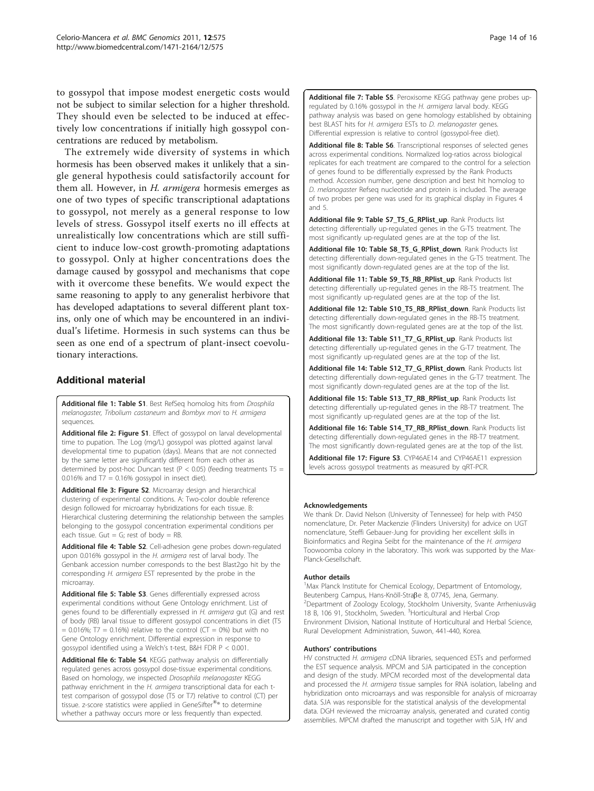<span id="page-13-0"></span>to gossypol that impose modest energetic costs would not be subject to similar selection for a higher threshold. They should even be selected to be induced at effectively low concentrations if initially high gossypol concentrations are reduced by metabolism.

The extremely wide diversity of systems in which hormesis has been observed makes it unlikely that a single general hypothesis could satisfactorily account for them all. However, in H. armigera hormesis emerges as one of two types of specific transcriptional adaptations to gossypol, not merely as a general response to low levels of stress. Gossypol itself exerts no ill effects at unrealistically low concentrations which are still sufficient to induce low-cost growth-promoting adaptations to gossypol. Only at higher concentrations does the damage caused by gossypol and mechanisms that cope with it overcome these benefits. We would expect the same reasoning to apply to any generalist herbivore that has developed adaptations to several different plant toxins, only one of which may be encountered in an individual's lifetime. Hormesis in such systems can thus be seen as one end of a spectrum of plant-insect coevolutionary interactions.

## Additional material

[Additional file 1: T](http://www.biomedcentral.com/content/supplementary/1471-2164-12-575-S1.ZIP)able S1. Best RefSeq homolog hits from Drosphila melanogaster, Tribolium castaneum and Bombyx mori to H. armigera sequences.

[Additional file 2: F](http://www.biomedcentral.com/content/supplementary/1471-2164-12-575-S2.PDF)igure S1. Effect of gossypol on larval developmental time to pupation. The Log (mg/L) gossypol was plotted against larval developmental time to pupation (days). Means that are not connected by the same letter are significantly different from each other as determined by post-hoc Duncan test ( $P < 0.05$ ) (feeding treatments T5 = 0.016% and  $T7 = 0.16%$  gossypol in insect diet).

[Additional file 3: F](http://www.biomedcentral.com/content/supplementary/1471-2164-12-575-S3.PDF)igure S2. Microarray design and hierarchical clustering of experimental conditions. A: Two-color double reference design followed for microarray hybridizations for each tissue. B: Hierarchical clustering determining the relationship between the samples belonging to the gossypol concentration experimental conditions per each tissue. Gut = G; rest of body =  $RB$ .

[Additional file 4: T](http://www.biomedcentral.com/content/supplementary/1471-2164-12-575-S4.XLS)able S2. Cell-adhesion gene probes down-regulated upon 0.016% gossypol in the H. armigera rest of larval body. The Genbank accession number corresponds to the best Blast2go hit by the corresponding H. armigera EST represented by the probe in the microarray.

[Additional file 5: T](http://www.biomedcentral.com/content/supplementary/1471-2164-12-575-S5.XLS)able S3. Genes differentially expressed across experimental conditions without Gene Ontology enrichment. List of genes found to be differentially expressed in H. armigera gut (G) and rest of body (RB) larval tissue to different gossypol concentrations in diet (T5  $= 0.016\%$ ; T7 = 0.16%) relative to the control (CT = 0%) but with no Gene Ontology enrichment. Differential expression in response to gossypol identified using a Welch's t-test, B&H FDR P < 0.001.

[Additional file 6: T](http://www.biomedcentral.com/content/supplementary/1471-2164-12-575-S6.XLS)able S4. KEGG pathway analysis on differentially regulated genes across gossypol dose-tissue experimental conditions. Based on homology, we inspected Drosophila melanogaster KEGG pathway enrichment in the H. armigera transcriptional data for each ttest comparison of gossypol dose (T5 or T7) relative to control (CT) per tissue. z-score statistics were applied in GeneSifter®® to determine whether a pathway occurs more or less frequently than expected.

[Additional file 7: T](http://www.biomedcentral.com/content/supplementary/1471-2164-12-575-S7.XLS)able S5. Peroxisome KEGG pathway gene probes upregulated by 0.16% gossypol in the H. armigera larval body. KEGG pathway analysis was based on gene homology established by obtaining best BLAST hits for H. armigera ESTs to D. melanogaster genes. Differential expression is relative to control (gossypol-free diet).

[Additional file 8: T](http://www.biomedcentral.com/content/supplementary/1471-2164-12-575-S8.XLS)able S6. Transcriptional responses of selected genes across experimental conditions. Normalized log-ratios across biological replicates for each treatment are compared to the control for a selection of genes found to be differentially expressed by the Rank Products method. Accession number, gene description and best hit homolog to D. melanogaster Refseq nucleotide and protein is included. The average of two probes per gene was used for its graphical display in Figures [4](#page-9-0) and [5](#page-10-0).

[Additional file 9: T](http://www.biomedcentral.com/content/supplementary/1471-2164-12-575-S9.XLS)able S7\_T5\_G\_RPlist\_up. Rank Products list detecting differentially up-regulated genes in the G-T5 treatment. The most significantly up-regulated genes are at the top of the list.

[Additional file 10: T](http://www.biomedcentral.com/content/supplementary/1471-2164-12-575-S10.XLS)able S8\_T5\_G\_RPlist\_down. Rank Products list detecting differentially down-regulated genes in the G-T5 treatment. The most significantly down-regulated genes are at the top of the list.

[Additional file 11: T](http://www.biomedcentral.com/content/supplementary/1471-2164-12-575-S11.XLS)able S9\_T5\_RB\_RPlist\_up. Rank Products list detecting differentially up-regulated genes in the RB-T5 treatment. The most significantly up-regulated genes are at the top of the list.

[Additional file 12: T](http://www.biomedcentral.com/content/supplementary/1471-2164-12-575-S12.XLS)able S10 T5 RB\_RPlist\_down. Rank Products list detecting differentially down-regulated genes in the RB-T5 treatment. The most significantly down-regulated genes are at the top of the list.

[Additional file 13: T](http://www.biomedcentral.com/content/supplementary/1471-2164-12-575-S13.XLS)able S11\_T7\_G\_RPlist\_up. Rank Products list detecting differentially up-regulated genes in the G-T7 treatment. The most significantly up-regulated genes are at the top of the list.

[Additional file 14: T](http://www.biomedcentral.com/content/supplementary/1471-2164-12-575-S14.XLS)able S12\_T7\_G\_RPlist\_down. Rank Products list detecting differentially down-regulated genes in the G-T7 treatment. The most significantly down-regulated genes are at the top of the list.

[Additional file 15: T](http://www.biomedcentral.com/content/supplementary/1471-2164-12-575-S15.XLS)able S13\_T7\_RB\_RPlist\_up. Rank Products list detecting differentially up-regulated genes in the RB-T7 treatment. The most significantly up-regulated genes are at the top of the list.

[Additional file 16: T](http://www.biomedcentral.com/content/supplementary/1471-2164-12-575-S16.XLS)able S14\_T7\_RB\_RPlist\_down. Rank Products list detecting differentially down-regulated genes in the RB-T7 treatment. The most significantly down-regulated genes are at the top of the list.

[Additional file 17: F](http://www.biomedcentral.com/content/supplementary/1471-2164-12-575-S17.PDF)igure S3. CYP46AE14 and CYP46AE11 expression levels across gossypol treatments as measured by qRT-PCR.

### Acknowledgements

We thank Dr. David Nelson (University of Tennessee) for help with P450 nomenclature, Dr. Peter Mackenzie (Flinders University) for advice on UGT nomenclature, Steffi Gebauer-Jung for providing her excellent skills in Bioinformatics and Regina Seibt for the maintenance of the H. armigera Toowoomba colony in the laboratory. This work was supported by the Max-Planck-Gesellschaft.

### Author details

<sup>1</sup>Max Planck Institute for Chemical Ecology, Department of Entomology, Beutenberg Campus, Hans-Knöll-Straße 8, 07745, Jena, Germany. Department of Zoology Ecology, Stockholm University, Svante Arrheniusväg 18 B, 106 91, Stockholm, Sweden. <sup>3</sup>Horticultural and Herbal Crop Environment Division, National Institute of Horticultural and Herbal Science, Rural Development Administration, Suwon, 441-440, Korea.

## Authors' contributions

HV constructed H. armigera cDNA libraries, sequenced ESTs and performed the EST sequence analysis. MPCM and SJA participated in the conception and design of the study. MPCM recorded most of the developmental data and processed the H. armigera tissue samples for RNA isolation, labeling and hybridization onto microarrays and was responsible for analysis of microarray data. SJA was responsible for the statistical analysis of the developmental data. DGH reviewed the microarray analysis, generated and curated contig assemblies. MPCM drafted the manuscript and together with SJA, HV and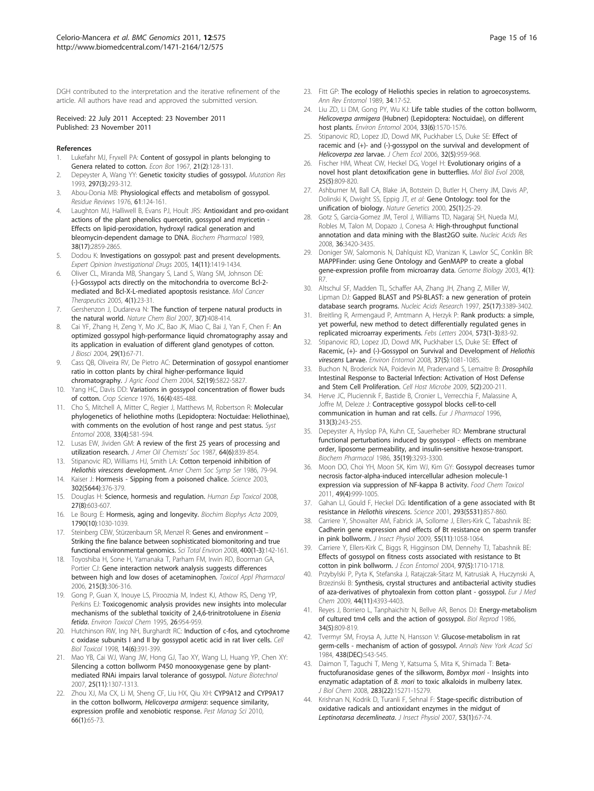<span id="page-14-0"></span>DGH contributed to the interpretation and the iterative refinement of the article. All authors have read and approved the submitted version.

#### Received: 22 July 2011 Accepted: 23 November 2011 Published: 23 November 2011

#### References

- Lukefahr MJ, Fryxell PA: Content of gossypol in plants belonging to Genera related to cotton. Econ Bot 1967, 21(2):128-131.
- 2. Depeyster A, Wang YY: [Genetic toxicity studies of gossypol.](http://www.ncbi.nlm.nih.gov/pubmed/7692275?dopt=Abstract) Mutation Res 1993, 297(3):293-312.
- 3. Abou-Donia MB: Physiological effects and metabolism of gossypol. Residue Reviews 1976, 61:124-161.
- 4. Laughton MJ, Halliwell B, Evans PJ, Hoult JRS: [Antioxidant and pro-oxidant](http://www.ncbi.nlm.nih.gov/pubmed/2476132?dopt=Abstract) [actions of the plant phenolics quercetin, gossypol and myricetin -](http://www.ncbi.nlm.nih.gov/pubmed/2476132?dopt=Abstract) [Effects on lipid-peroxidation, hydroxyl radical generation and](http://www.ncbi.nlm.nih.gov/pubmed/2476132?dopt=Abstract) [bleomycin-dependent damage to DNA.](http://www.ncbi.nlm.nih.gov/pubmed/2476132?dopt=Abstract) Biochem Pharmacol 1989, 38(17):2859-2865.
- Dodou K: Investigations on gossypol: past and present developments. Expert Opinion Investigational Drugs 2005, 14(11):1419-1434.
- 6. Oliver CL, Miranda MB, Shangary S, Land S, Wang SM, Johnson DE: (-)-Gossypol acts directly on the mitochondria to overcome Bcl-2 mediated and Bcl-X-L-mediated apoptosis resistance. Mol Cancer Therapeutics 2005, 4(1):23-31.
- 7. Gershenzon J, Dudareva N: The function of terpene natural products in the natural world. Nature Chem Biol 2007, 3(7):408-414.
- Cai YF, Zhang H, Zeng Y, Mo JC, Bao JK, Miao C, Bai J, Yan F, Chen F: [An](http://www.ncbi.nlm.nih.gov/pubmed/15286405?dopt=Abstract) [optimized gossypol high-performance liquid chromatography assay and](http://www.ncbi.nlm.nih.gov/pubmed/15286405?dopt=Abstract) [its application in evaluation of different gland genotypes of cotton.](http://www.ncbi.nlm.nih.gov/pubmed/15286405?dopt=Abstract) J Biosci 2004, 29(1):67-71.
- 9. Cass QB, Oliveira RV, De Pietro AC: [Determination of gossypol enantiomer](http://www.ncbi.nlm.nih.gov/pubmed/15366827?dopt=Abstract) [ratio in cotton plants by chiral higher-performance liquid](http://www.ncbi.nlm.nih.gov/pubmed/15366827?dopt=Abstract) [chromatography.](http://www.ncbi.nlm.nih.gov/pubmed/15366827?dopt=Abstract) J Agric Food Chem 2004, 52(19):5822-5827.
- 10. Yang HC, Davis DD: Variations in gossypol concentration of flower buds of cotton. Crop Science 1976, 16(4):485-488.
- 11. Cho S, Mitchell A, Mitter C, Regier J, Matthews M, Robertson R: Molecular phylogenetics of heliothine moths (Lepidoptera: Noctuidae: Heliothinae), with comments on the evolution of host range and pest status. Syst Entomol 2008, 33(4):581-594.
- 12. Lusas EW, Jividen GM: A review of the first 25 years of processing and utilization research. J Amer Oil Chemists' Soc 1987, 64(6):839-854.
- 13. Stipanovic RD, Williams HJ, Smith LA: Cotton terpenoid inhibition of Heliothis virescens development. Amer Chem Soc Symp Ser 1986, 79-94.
- 14. Kaiser J: [Hormesis Sipping from a poisoned chalice.](http://www.ncbi.nlm.nih.gov/pubmed/14563981?dopt=Abstract) Science 2003, 302(5644):376-379.
- 15. Douglas H: Science, hormesis and regulation. Human Exp Toxicol 2008, 27(8):603-607.
- 16. Le Bourg E: [Hormesis, aging and longevity.](http://www.ncbi.nlm.nih.gov/pubmed/19463497?dopt=Abstract) Biochim Biophys Acta 2009, 1790(10):1030-1039.
- 17. Steinberg CEW, Stürzenbaum SR, Menzel R: [Genes and environment](http://www.ncbi.nlm.nih.gov/pubmed/18817948?dopt=Abstract) -[Striking the fine balance between sophisticated biomonitoring and true](http://www.ncbi.nlm.nih.gov/pubmed/18817948?dopt=Abstract) [functional environmental genomics.](http://www.ncbi.nlm.nih.gov/pubmed/18817948?dopt=Abstract) Sci Total Environ 2008, 400(1-3):142-161.
- 18. Toyoshiba H, Sone H, Yamanaka T, Parham FM, Irwin RD, Boorman GA, Portier CJ: [Gene interaction network analysis suggests differences](http://www.ncbi.nlm.nih.gov/pubmed/16701773?dopt=Abstract) [between high and low doses of acetaminophen.](http://www.ncbi.nlm.nih.gov/pubmed/16701773?dopt=Abstract) Toxicol Appl Pharmacol 2006, 215(3):306-316.
- 19. Gong P, Guan X, Inouye LS, Pirooznia M, Indest KJ, Athow RS, Deng YP, Perkins EJ: Toxicogenomic analysis provides new insights into molecular mechanisms of the sublethal toxicity of 2,4,6-trinitrotoluene in Eisenia fetida. Environ Toxicol Chem 1995, 26:954-959.
- 20. Hutchinson RW, Ing NH, Burghardt RC: [Induction of c-fos, and cytochrome](http://www.ncbi.nlm.nih.gov/pubmed/9879931?dopt=Abstract) [c oxidase subunits I and II by gossypol acetic acid in rat liver cells.](http://www.ncbi.nlm.nih.gov/pubmed/9879931?dopt=Abstract) Cell Biol Toxicol 1998, 14(6):391-399.
- 21. Mao YB, Cai WJ, Wang JW, Hong GJ, Tao XY, Wang LJ, Huang YP, Chen XY: Silencing a cotton bollworm P450 monooxygenase gene by plantmediated RNAi impairs larval tolerance of gossypol. Nature Biotechnol 2007, 25(11):1307-1313.
- 22. Zhou XJ, Ma CX, Li M, Sheng CF, Liu HX, Qiu XH: [CYP9A12 and CYP9A17](http://www.ncbi.nlm.nih.gov/pubmed/19728321?dopt=Abstract) [in the cotton bollworm,](http://www.ncbi.nlm.nih.gov/pubmed/19728321?dopt=Abstract) Helicoverpa armigera: sequence similarity, [expression profile and xenobiotic response.](http://www.ncbi.nlm.nih.gov/pubmed/19728321?dopt=Abstract) Pest Manag Sci 2010, 66(1):65-73.
- 23. Fitt GP: The ecology of Heliothis species in relation to agroecosystems. Ann Rev Entomol 1989, 34:17-52.
- 24. Liu ZD, Li DM, Gong PY, Wu KJ: Life table studies of the cotton bollworm, Helicoverpa armigera (Hubner) (Lepidoptera: Noctuidae), on different host plants. Environ Entomol 2004, 33(6):1570-1576.
- 25. Stipanovic RD, Lopez JD, Dowd MK, Puckhaber LS, Duke SE: [Effect of](http://www.ncbi.nlm.nih.gov/pubmed/16739016?dopt=Abstract) [racemic and \(+\)- and \(-\)-gossypol on the survival and development of](http://www.ncbi.nlm.nih.gov/pubmed/16739016?dopt=Abstract) [Helicoverpa zea](http://www.ncbi.nlm.nih.gov/pubmed/16739016?dopt=Abstract) larvae. J Chem Ecol 2006, 32(5):959-968.
- 26. Fischer HM, Wheat CW, Heckel DG, Vogel H: [Evolutionary origins of a](http://www.ncbi.nlm.nih.gov/pubmed/18296701?dopt=Abstract) [novel host plant detoxification gene in butterflies.](http://www.ncbi.nlm.nih.gov/pubmed/18296701?dopt=Abstract) Mol Biol Evol 2008, 25(5):809-820.
- 27. Ashburner M, Ball CA, Blake JA, Botstein D, Butler H, Cherry JM, Davis AP, Dolinski K, Dwight SS, Eppig JT, et al: [Gene Ontology: tool for the](http://www.ncbi.nlm.nih.gov/pubmed/10802651?dopt=Abstract) [unification of biology.](http://www.ncbi.nlm.nih.gov/pubmed/10802651?dopt=Abstract) Nature Genetics 2000, 25(1):25-29.
- 28. Gotz S, Garcia-Gomez JM, Terol J, Williams TD, Nagaraj SH, Nueda MJ, Robles M, Talon M, Dopazo J, Conesa A: [High-throughput functional](http://www.ncbi.nlm.nih.gov/pubmed/18445632?dopt=Abstract) [annotation and data mining with the Blast2GO suite.](http://www.ncbi.nlm.nih.gov/pubmed/18445632?dopt=Abstract) Nucleic Acids Res 2008, 36:3420-3435.
- 29. Doniger SW, Salomonis N, Dahlquist KD, Vranizan K, Lawlor SC, Conklin BR: [MAPPFinder: using Gene Ontology and GenMAPP to create a global](http://www.ncbi.nlm.nih.gov/pubmed/12540299?dopt=Abstract) [gene-expression profile from microarray data.](http://www.ncbi.nlm.nih.gov/pubmed/12540299?dopt=Abstract) Genome Biology 2003, 4(1): R7.
- 30. Altschul SF, Madden TL, Schaffer AA, Zhang JH, Zhang Z, Miller W, Lipman DJ: [Gapped BLAST and PSI-BLAST: a new generation of protein](http://www.ncbi.nlm.nih.gov/pubmed/9254694?dopt=Abstract) [database search programs.](http://www.ncbi.nlm.nih.gov/pubmed/9254694?dopt=Abstract) Nucleic Acids Research 1997, 25(17):3389-3402.
- 31. Breitling R, Armengaud P, Amtmann A, Herzyk P: [Rank products: a simple,](http://www.ncbi.nlm.nih.gov/pubmed/15327980?dopt=Abstract) [yet powerful, new method to detect differentially regulated genes in](http://www.ncbi.nlm.nih.gov/pubmed/15327980?dopt=Abstract) [replicated microarray experiments.](http://www.ncbi.nlm.nih.gov/pubmed/15327980?dopt=Abstract) Febs Letters 2004, 573(1-3):83-92.
- 32. Stipanovic RD, Lopez JD, Dowd MK, Puckhaber LS, Duke SE: [Effect of](http://www.ncbi.nlm.nih.gov/pubmed/19036185?dopt=Abstract) [Racemic, \(+\)- and \(-\)-Gossypol on Survival and Development of](http://www.ncbi.nlm.nih.gov/pubmed/19036185?dopt=Abstract) Heliothis [virescens](http://www.ncbi.nlm.nih.gov/pubmed/19036185?dopt=Abstract) Larvae. Environ Entomol 2008, 37(5):1081-1085.
- 33. Buchon N, Broderick NA, Poidevin M, Pradervand S, Lemaitre B: [Drosophila](http://www.ncbi.nlm.nih.gov/pubmed/19218090?dopt=Abstract) [Intestinal Response to Bacterial Infection: Activation of Host Defense](http://www.ncbi.nlm.nih.gov/pubmed/19218090?dopt=Abstract) [and Stem Cell Proliferation.](http://www.ncbi.nlm.nih.gov/pubmed/19218090?dopt=Abstract) Cell Host Microbe 2009, 5(2):200-211
- 34. Herve JC, Pluciennik F, Bastide B, Cronier L, Verrecchia F, Malassine A, Joffre M, Deleze J: [Contraceptive gossypol blocks cell-to-cell](http://www.ncbi.nlm.nih.gov/pubmed/8911921?dopt=Abstract) [communication in human and rat cells.](http://www.ncbi.nlm.nih.gov/pubmed/8911921?dopt=Abstract) Eur J Pharmacol 1996, 313(3):243-255.
- 35. Depeyster A, Hyslop PA, Kuhn CE, Sauerheber RD: [Membrane structural](http://www.ncbi.nlm.nih.gov/pubmed/3533079?dopt=Abstract) [functional perturbations induced by gossypol - effects on membrane](http://www.ncbi.nlm.nih.gov/pubmed/3533079?dopt=Abstract) [order, liposome permeability, and insulin-sensitive hexose-transport.](http://www.ncbi.nlm.nih.gov/pubmed/3533079?dopt=Abstract) Biochem Pharmacol 1986, 35(19):3293-3300.
- 36. Moon DO, Choi YH, Moon SK, Kim WJ, Kim GY: [Gossypol decreases tumor](http://www.ncbi.nlm.nih.gov/pubmed/21223991?dopt=Abstract) [necrosis factor-alpha-induced intercellular adhesion molecule-1](http://www.ncbi.nlm.nih.gov/pubmed/21223991?dopt=Abstract) [expression via suppression of NF-kappa B activity.](http://www.ncbi.nlm.nih.gov/pubmed/21223991?dopt=Abstract) Food Chem Toxicol 2011, 49(4):999-1005.
- 37. Gahan LJ, Gould F, Heckel DG: [Identification of a gene associated with Bt](http://www.ncbi.nlm.nih.gov/pubmed/11486086?dopt=Abstract) resistance in [Heliothis virescens](http://www.ncbi.nlm.nih.gov/pubmed/11486086?dopt=Abstract). Science 2001, 293(5531):857-860.
- 38. Carriere Y, Showalter AM, Fabrick JA, Sollome J, Ellers-Kirk C, Tabashnik BE: [Cadherin gene expression and effects of Bt resistance on sperm transfer](http://www.ncbi.nlm.nih.gov/pubmed/19666026?dopt=Abstract) [in pink bollworm.](http://www.ncbi.nlm.nih.gov/pubmed/19666026?dopt=Abstract) J Insect Physiol 2009, 55(11):1058-1064.
- 39. Carriere Y, Ellers-Kirk C, Biggs R, Higginson DM, Dennehy TJ, Tabashnik BE: [Effects of gossypol on fitness costs associated with resistance to Bt](http://www.ncbi.nlm.nih.gov/pubmed/15568363?dopt=Abstract) [cotton in pink bollworm.](http://www.ncbi.nlm.nih.gov/pubmed/15568363?dopt=Abstract) J Econ Entomol 2004, 97(5):1710-1718.
- 40. Przybylski P, Pyta K, Stefanska J, Ratajczak-Sitarz M, Katrusiak A, Huczynski A, Brzezinski B: [Synthesis, crystal structures and antibacterial activity studies](http://www.ncbi.nlm.nih.gov/pubmed/19577825?dopt=Abstract) [of aza-derivatives of phytoalexin from cotton plant - gossypol.](http://www.ncbi.nlm.nih.gov/pubmed/19577825?dopt=Abstract) Eur J Med Chem 2009, 44(11):4393-4403.
- 41. Reyes J, Borriero L, Tanphaichitr N, Bellve AR, Benos DJ: [Energy-metabolism](http://www.ncbi.nlm.nih.gov/pubmed/3730478?dopt=Abstract) of [cultured tm4 cells and the action of gossypol.](http://www.ncbi.nlm.nih.gov/pubmed/3730478?dopt=Abstract) Biol Reprod 1986, 34(5):809-819.
- 42. Tvermyr SM, Froysa A, Jutte N, Hansson V: Glucose-metabolism in rat germ-cells - mechanism of action of gossypol. Annals New York Acad Sci 1984, 438(DEC):543-545.
- 43. Daimon T, Taguchi T, Meng Y, Katsuma S, Mita K, Shimada T: [Beta](http://www.ncbi.nlm.nih.gov/pubmed/18397891?dopt=Abstract)[fructofuranosidase genes of the silkworm,](http://www.ncbi.nlm.nih.gov/pubmed/18397891?dopt=Abstract) Bombyx mori - Insights into enzymatic adaptation of *B. mori* [to toxic alkaloids in mulberry latex.](http://www.ncbi.nlm.nih.gov/pubmed/18397891?dopt=Abstract) J Biol Chem 2008, 283(22):15271-15279.
- 44. Krishnan N, Kodrik D, Turanli F, Sehnal F: [Stage-specific distribution of](http://www.ncbi.nlm.nih.gov/pubmed/17126855?dopt=Abstract) [oxidative radicals and antioxidant enzymes in the midgut of](http://www.ncbi.nlm.nih.gov/pubmed/17126855?dopt=Abstract) [Leptinotarsa decemlineata](http://www.ncbi.nlm.nih.gov/pubmed/17126855?dopt=Abstract). J Insect Physiol 2007, 53(1):67-74.